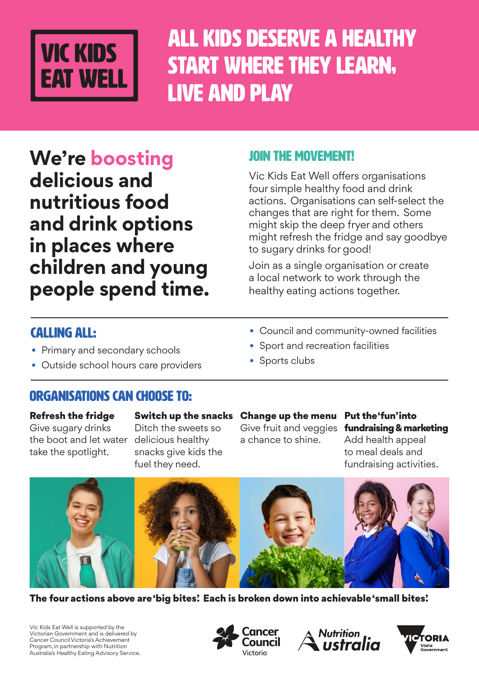

All kids deserve a healthy start where they learn, live and play

**We're boosting delicious and nutritious food and drink options in places where children and young people spend time.**

### JOIN THE MOVEMENT!

Vic Kids Eat Well offers organisations four simple healthy food and drink actions. Organisations can self-select the changes that are right for them. Some might skip the deep fryer and others might refresh the fridge and say goodbye to sugary drinks for good!

Join as a single organisation or create a local network to work through the healthy eating actions together.

### Calling all:

- Primary and secondary schools
- Outside school hours care providers

### • Council and community-owned facilities

- Sport and recreation facilities
- Sports clubs

### Organisations can choose to:

#### Refresh the fridge

Give sugary drinks the boot and let water take the spotlight.

Switch up the snacks Ditch the sweets so

delicious healthy snacks give kids the fuel they need.

Change up the menu Give fruit and veggies a chance to shine.

Put the 'fun' into fundraising & marketing Add health appeal to meal deals and fundraising activities.



The four actions above are 'big bites'. Each is broken down into achievable 'small bites'.

Vic Kids Eat Well is supported by the Victorian Government and is delivered by Cancer Council Victoria's Achievement Program, in partnership with Nutrition Australia's Healthy Eating Advisory Service.